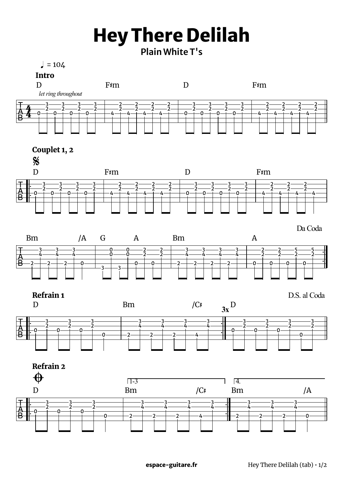## **Hey There Delilah**

**Plain White T's**

 $= 104$ 



Couplet 1, 2